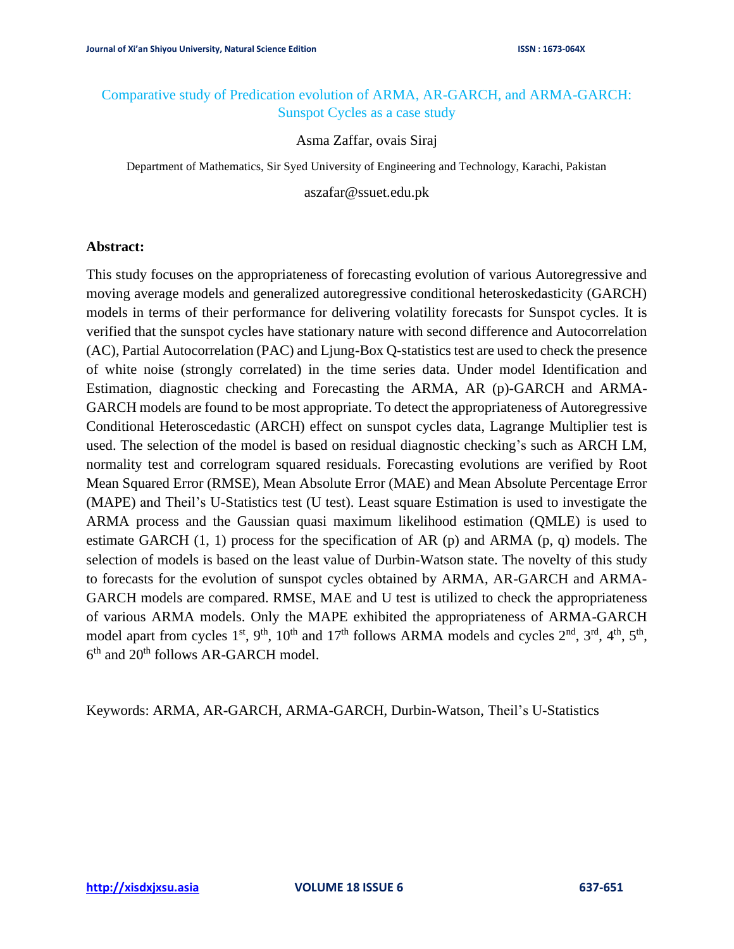# Comparative study of Predication evolution of ARMA, AR-GARCH, and ARMA-GARCH: Sunspot Cycles as a case study

Asma Zaffar, ovais Siraj

Department of Mathematics, Sir Syed University of Engineering and Technology, Karachi, Pakistan

aszafar@ssuet.edu.pk

## **Abstract:**

This study focuses on the appropriateness of forecasting evolution of various Autoregressive and moving average models and generalized autoregressive conditional heteroskedasticity (GARCH) models in terms of their performance for delivering volatility forecasts for Sunspot cycles. It is verified that the sunspot cycles have stationary nature with second difference and Autocorrelation (AC), Partial Autocorrelation (PAC) and Ljung-Box Q-statistics test are used to check the presence of white noise (strongly correlated) in the time series data. Under model Identification and Estimation, diagnostic checking and Forecasting the ARMA, AR (p)-GARCH and ARMA-GARCH models are found to be most appropriate. To detect the appropriateness of Autoregressive Conditional Heteroscedastic (ARCH) effect on sunspot cycles data, Lagrange Multiplier test is used. The selection of the model is based on residual diagnostic checking's such as ARCH LM, normality test and correlogram squared residuals. Forecasting evolutions are verified by Root Mean Squared Error (RMSE), Mean Absolute Error (MAE) and Mean Absolute Percentage Error (MAPE) and Theil's U-Statistics test (U test). Least square Estimation is used to investigate the ARMA process and the Gaussian quasi maximum likelihood estimation (QMLE) is used to estimate GARCH  $(1, 1)$  process for the specification of AR  $(p)$  and ARMA  $(p, q)$  models. The selection of models is based on the least value of Durbin-Watson state. The novelty of this study to forecasts for the evolution of sunspot cycles obtained by ARMA, AR-GARCH and ARMA-GARCH models are compared. RMSE, MAE and U test is utilized to check the appropriateness of various ARMA models. Only the MAPE exhibited the appropriateness of ARMA-GARCH model apart from cycles  $1^{st}$ ,  $9^{th}$ ,  $10^{th}$  and  $17^{th}$  follows ARMA models and cycles  $2^{nd}$ ,  $3^{rd}$ ,  $4^{th}$ ,  $5^{th}$ , 6<sup>th</sup> and 20<sup>th</sup> follows AR-GARCH model.

Keywords: ARMA, AR-GARCH, ARMA-GARCH, Durbin-Watson, Theil's U-Statistics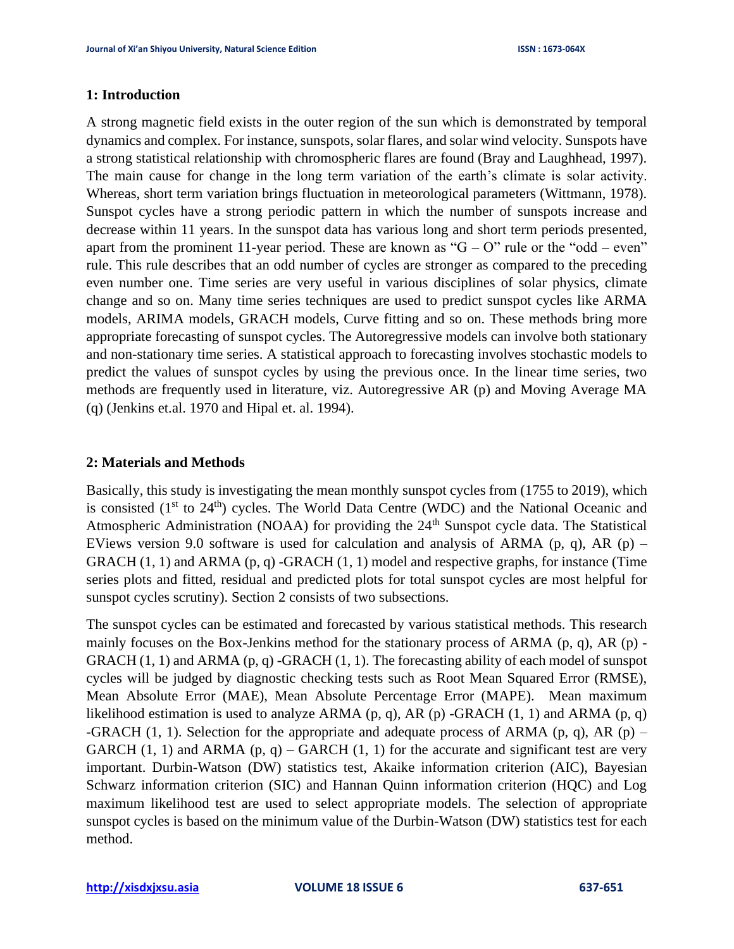### **1: Introduction**

A strong magnetic field exists in the outer region of the sun which is demonstrated by temporal dynamics and complex. For instance, sunspots, solar flares, and solar wind velocity. Sunspots have a strong statistical relationship with chromospheric flares are found (Bray and Laughhead, 1997). The main cause for change in the long term variation of the earth's climate is solar activity. Whereas, short term variation brings fluctuation in meteorological parameters (Wittmann, 1978). Sunspot cycles have a strong periodic pattern in which the number of sunspots increase and decrease within 11 years. In the sunspot data has various long and short term periods presented, apart from the prominent 11-year period. These are known as " $G - O$ " rule or the "odd – even" rule. This rule describes that an odd number of cycles are stronger as compared to the preceding even number one. Time series are very useful in various disciplines of solar physics, climate change and so on. Many time series techniques are used to predict sunspot cycles like ARMA models, ARIMA models, GRACH models, Curve fitting and so on. These methods bring more appropriate forecasting of sunspot cycles. The Autoregressive models can involve both stationary and non-stationary time series. A statistical approach to forecasting involves stochastic models to predict the values of sunspot cycles by using the previous once. In the linear time series, two methods are frequently used in literature, viz. Autoregressive AR (p) and Moving Average MA (q) (Jenkins et.al. 1970 and Hipal et. al. 1994).

#### **2: Materials and Methods**

Basically, this study is investigating the mean monthly sunspot cycles from (1755 to 2019), which is consisted  $(1<sup>st</sup>$  to  $24<sup>th</sup>$ ) cycles. The World Data Centre (WDC) and the National Oceanic and Atmospheric Administration (NOAA) for providing the  $24<sup>th</sup>$  Sunspot cycle data. The Statistical EViews version 9.0 software is used for calculation and analysis of ARMA (p, q), AR (p) – GRACH  $(1, 1)$  and ARMA  $(p, q)$  -GRACH  $(1, 1)$  model and respective graphs, for instance (Time series plots and fitted, residual and predicted plots for total sunspot cycles are most helpful for sunspot cycles scrutiny). Section 2 consists of two subsections.

The sunspot cycles can be estimated and forecasted by various statistical methods. This research mainly focuses on the Box-Jenkins method for the stationary process of ARMA (p, q), AR (p) - GRACH (1, 1) and ARMA (p, q) -GRACH (1, 1). The forecasting ability of each model of sunspot cycles will be judged by diagnostic checking tests such as Root Mean Squared Error (RMSE), Mean Absolute Error (MAE), Mean Absolute Percentage Error (MAPE). Mean maximum likelihood estimation is used to analyze ARMA  $(p, q)$ , AR  $(p)$  -GRACH  $(1, 1)$  and ARMA  $(p, q)$ -GRACH (1, 1). Selection for the appropriate and adequate process of ARMA (p, q), AR (p) – GARCH  $(1, 1)$  and ARMA  $(p, q)$  – GARCH  $(1, 1)$  for the accurate and significant test are very important. Durbin-Watson (DW) statistics test, Akaike information criterion (AIC), Bayesian Schwarz information criterion (SIC) and Hannan Quinn information criterion (HQC) and Log maximum likelihood test are used to select appropriate models. The selection of appropriate sunspot cycles is based on the minimum value of the Durbin-Watson (DW) statistics test for each method.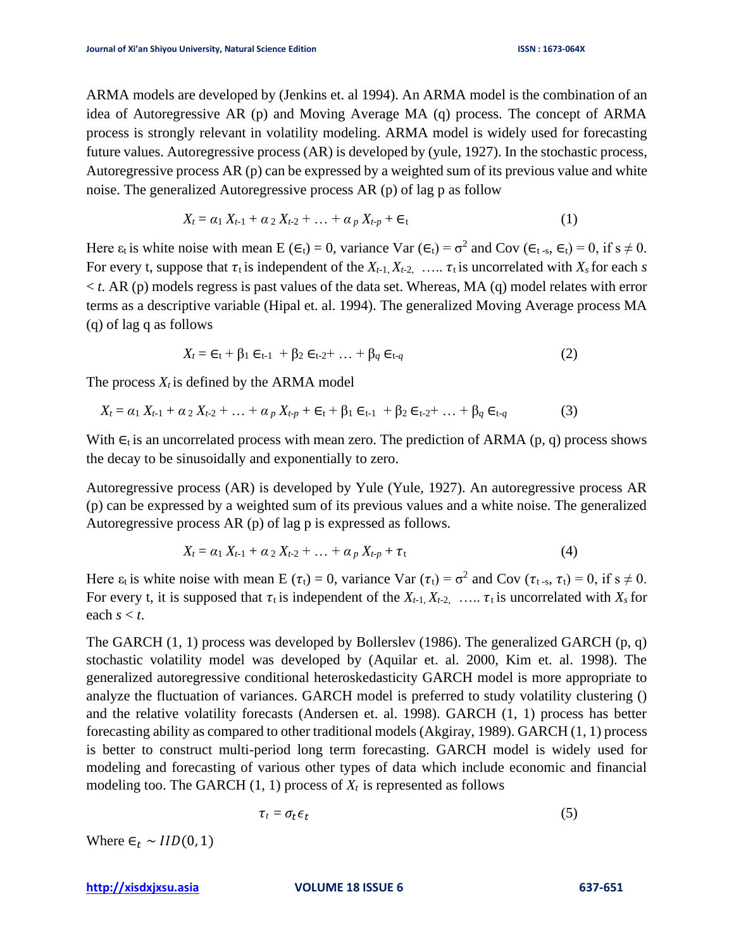ARMA models are developed by (Jenkins et. al 1994). An ARMA model is the combination of an idea of Autoregressive AR (p) and Moving Average MA (q) process. The concept of ARMA process is strongly relevant in volatility modeling. ARMA model is widely used for forecasting future values. Autoregressive process (AR) is developed by (yule, 1927). In the stochastic process, Autoregressive process AR (p) can be expressed by a weighted sum of its previous value and white noise. The generalized Autoregressive process AR (p) of lag p as follow

$$
X_t = \alpha_1 X_{t-1} + \alpha_2 X_{t-2} + \ldots + \alpha_p X_{t-p} + \epsilon_t \tag{1}
$$

Here  $\varepsilon_t$  is white noise with mean E ( $\epsilon_t$ ) = 0, variance Var ( $\epsilon_t$ ) =  $\sigma^2$  and Cov ( $\epsilon_t$ <sub>-s</sub>,  $\epsilon_t$ ) = 0, if s  $\neq$  0. For every t, suppose that  $\tau_t$  is independent of the  $X_{t-1}, X_{t-2}, \ldots, \tau_t$  is uncorrelated with  $X_s$  for each *s*  $<$  *t*. AR (p) models regress is past values of the data set. Whereas, MA (q) model relates with error terms as a descriptive variable (Hipal et. al. 1994). The generalized Moving Average process MA (q) of lag q as follows

$$
X_t = \epsilon_t + \beta_1 \epsilon_{t-1} + \beta_2 \epsilon_{t-2} + \ldots + \beta_q \epsilon_{t-q}
$$
 (2)

The process  $X_t$  is defined by the ARMA model

$$
X_t = \alpha_1 X_{t-1} + \alpha_2 X_{t-2} + \ldots + \alpha_p X_{t-p} + \epsilon_t + \beta_1 \epsilon_{t-1} + \beta_2 \epsilon_{t-2} + \ldots + \beta_q \epsilon_{t-q}
$$
(3)

With  $\epsilon_t$  is an uncorrelated process with mean zero. The prediction of ARMA (p, q) process shows the decay to be sinusoidally and exponentially to zero.

Autoregressive process (AR) is developed by Yule (Yule, 1927). An autoregressive process AR (p) can be expressed by a weighted sum of its previous values and a white noise. The generalized Autoregressive process AR (p) of lag p is expressed as follows.

$$
X_t = \alpha_1 X_{t-1} + \alpha_2 X_{t-2} + \ldots + \alpha_p X_{t-p} + \tau_t \tag{4}
$$

Here  $\varepsilon_t$  is white noise with mean E  $(\tau_t) = 0$ , variance Var  $(\tau_t) = \sigma^2$  and Cov  $(\tau_{t-s}, \tau_t) = 0$ , if  $s \neq 0$ . For every t, it is supposed that  $\tau_t$  is independent of the  $X_{t-1}$ ,  $X_{t-2}$ , …..  $\tau_t$  is uncorrelated with  $X_s$  for each  $s < t$ .

The GARCH (1, 1) process was developed by Bollerslev (1986). The generalized GARCH (p, q) stochastic volatility model was developed by (Aquilar et. al. 2000, Kim et. al. 1998). The generalized autoregressive conditional heteroskedasticity GARCH model is more appropriate to analyze the fluctuation of variances. GARCH model is preferred to study volatility clustering () and the relative volatility forecasts (Andersen et. al. 1998). GARCH (1, 1) process has better forecasting ability as compared to other traditional models (Akgiray, 1989). GARCH (1, 1) process is better to construct multi-period long term forecasting. GARCH model is widely used for modeling and forecasting of various other types of data which include economic and financial modeling too. The GARCH  $(1, 1)$  process of  $X_t$  is represented as follows

$$
\tau_t = \sigma_t \epsilon_t \tag{5}
$$

Where  $\epsilon_t \sim IID(0, 1)$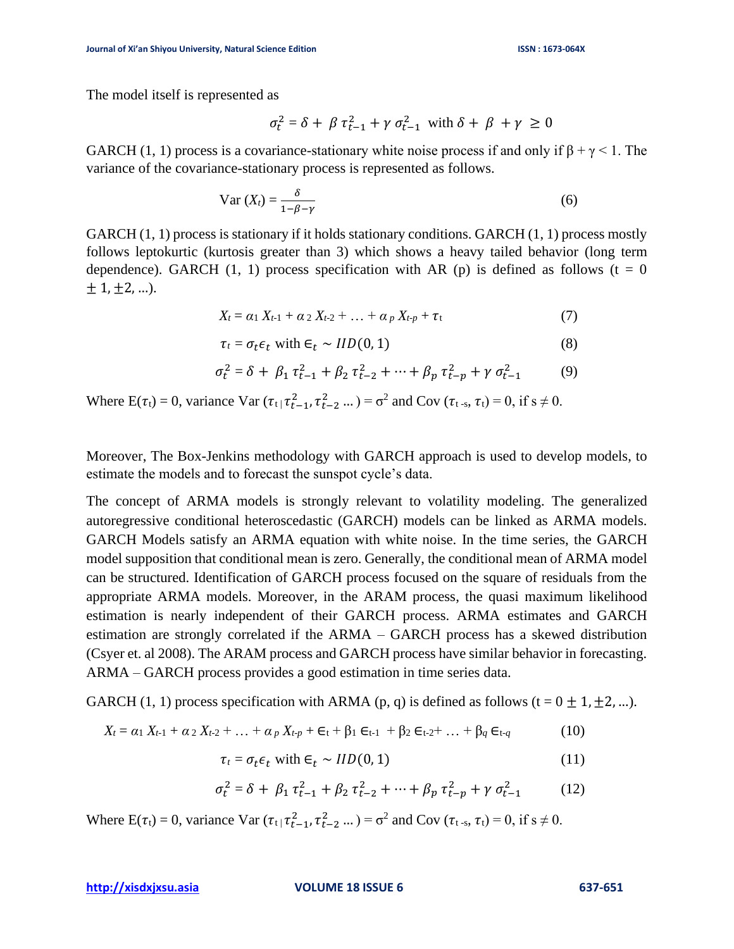The model itself is represented as

$$
\sigma_t^2 = \delta + \beta \tau_{t-1}^2 + \gamma \sigma_{t-1}^2 \text{ with } \delta + \beta + \gamma \ge 0
$$

GARCH (1, 1) process is a covariance-stationary white noise process if and only if  $\beta + \gamma \leq 1$ . The variance of the covariance-stationary process is represented as follows.

$$
\text{Var}\left(X_t\right) = \frac{\delta}{1 - \beta - \gamma} \tag{6}
$$

GARCH  $(1, 1)$  process is stationary if it holds stationary conditions. GARCH  $(1, 1)$  process mostly follows leptokurtic (kurtosis greater than 3) which shows a heavy tailed behavior (long term dependence). GARCH (1, 1) process specification with AR (p) is defined as follows ( $t = 0$  $\pm$  1,  $\pm$  2, ...).

$$
X_t = \alpha_1 X_{t-1} + \alpha_2 X_{t-2} + \ldots + \alpha_p X_{t-p} + \tau_t \tag{7}
$$

$$
\tau_t = \sigma_t \epsilon_t \text{ with } \epsilon_t \sim IID(0, 1) \tag{8}
$$

$$
\sigma_t^2 = \delta + \beta_1 \tau_{t-1}^2 + \beta_2 \tau_{t-2}^2 + \dots + \beta_p \tau_{t-p}^2 + \gamma \sigma_{t-1}^2 \tag{9}
$$

Where  $E(\tau_t) = 0$ , variance  $Var(\tau_t | \tau_{t-1}^2, \tau_{t-2}^2 ...) = \sigma^2$  and  $Cov(\tau_{t-s}, \tau_t) = 0$ , if  $s \neq 0$ .

Moreover, The Box-Jenkins methodology with GARCH approach is used to develop models, to estimate the models and to forecast the sunspot cycle's data.

The concept of ARMA models is strongly relevant to volatility modeling. The generalized autoregressive conditional heteroscedastic (GARCH) models can be linked as ARMA models. GARCH Models satisfy an ARMA equation with white noise. In the time series, the GARCH model supposition that conditional mean is zero. Generally, the conditional mean of ARMA model can be structured. Identification of GARCH process focused on the square of residuals from the appropriate ARMA models. Moreover, in the ARAM process, the quasi maximum likelihood estimation is nearly independent of their GARCH process. ARMA estimates and GARCH estimation are strongly correlated if the ARMA – GARCH process has a skewed distribution (Csyer et. al 2008). The ARAM process and GARCH process have similar behavior in forecasting. ARMA – GARCH process provides a good estimation in time series data.

GARCH (1, 1) process specification with ARMA (p, q) is defined as follows (t =  $0 \pm 1, \pm 2, ...$ ).

$$
X_t = \alpha_1 X_{t-1} + \alpha_2 X_{t-2} + \ldots + \alpha_p X_{t-p} + \epsilon_t + \beta_1 \epsilon_{t-1} + \beta_2 \epsilon_{t-2} + \ldots + \beta_q \epsilon_{t-q}
$$
(10)

$$
\tau_t = \sigma_t \epsilon_t \text{ with } \epsilon_t \sim IID(0, 1) \tag{11}
$$

$$
\sigma_t^2 = \delta + \beta_1 \tau_{t-1}^2 + \beta_2 \tau_{t-2}^2 + \dots + \beta_p \tau_{t-p}^2 + \gamma \sigma_{t-1}^2 \tag{12}
$$

Where  $E(\tau_t) = 0$ , variance  $Var(\tau_t | \tau_{t-1}^2, \tau_{t-2}^2 ...) = \sigma^2$  and  $Cov(\tau_{t-s}, \tau_t) = 0$ , if  $s \neq 0$ .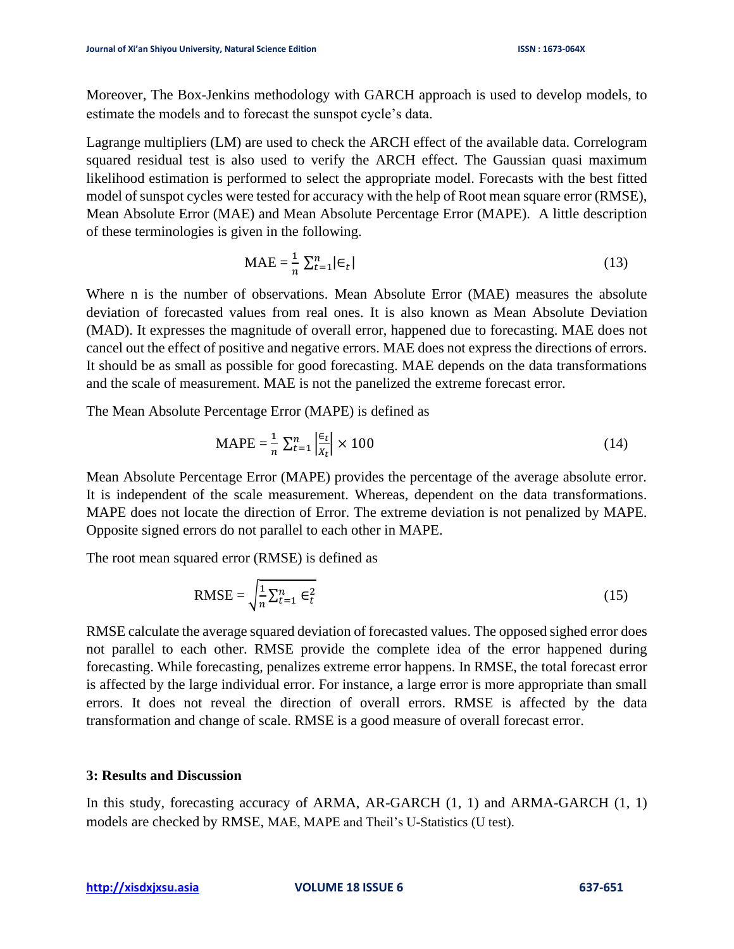Moreover, The Box-Jenkins methodology with GARCH approach is used to develop models, to estimate the models and to forecast the sunspot cycle's data.

Lagrange multipliers (LM) are used to check the ARCH effect of the available data. Correlogram squared residual test is also used to verify the ARCH effect. The Gaussian quasi maximum likelihood estimation is performed to select the appropriate model. Forecasts with the best fitted model of sunspot cycles were tested for accuracy with the help of Root mean square error (RMSE), Mean Absolute Error (MAE) and Mean Absolute Percentage Error (MAPE). A little description of these terminologies is given in the following.

$$
MAE = \frac{1}{n} \sum_{t=1}^{n} |\epsilon_t|
$$
 (13)

Where n is the number of observations. Mean Absolute Error (MAE) measures the absolute deviation of forecasted values from real ones. It is also known as Mean Absolute Deviation (MAD). It expresses the magnitude of overall error, happened due to forecasting. MAE does not cancel out the effect of positive and negative errors. MAE does not express the directions of errors. It should be as small as possible for good forecasting. MAE depends on the data transformations and the scale of measurement. MAE is not the panelized the extreme forecast error.

The Mean Absolute Percentage Error (MAPE) is defined as

$$
\text{MAPE} = \frac{1}{n} \sum_{t=1}^{n} \left| \frac{\epsilon_t}{x_t} \right| \times 100 \tag{14}
$$

Mean Absolute Percentage Error (MAPE) provides the percentage of the average absolute error. It is independent of the scale measurement. Whereas, dependent on the data transformations. MAPE does not locate the direction of Error. The extreme deviation is not penalized by MAPE. Opposite signed errors do not parallel to each other in MAPE.

The root mean squared error (RMSE) is defined as

$$
\text{RMSE} = \sqrt{\frac{1}{n} \sum_{t=1}^{n} \epsilon_t^2}
$$
 (15)

RMSE calculate the average squared deviation of forecasted values. The opposed sighed error does not parallel to each other. RMSE provide the complete idea of the error happened during forecasting. While forecasting, penalizes extreme error happens. In RMSE, the total forecast error is affected by the large individual error. For instance, a large error is more appropriate than small errors. It does not reveal the direction of overall errors. RMSE is affected by the data transformation and change of scale. RMSE is a good measure of overall forecast error.

## **3: Results and Discussion**

In this study, forecasting accuracy of ARMA, AR-GARCH (1, 1) and ARMA-GARCH (1, 1) models are checked by RMSE, MAE, MAPE and Theil's U-Statistics (U test).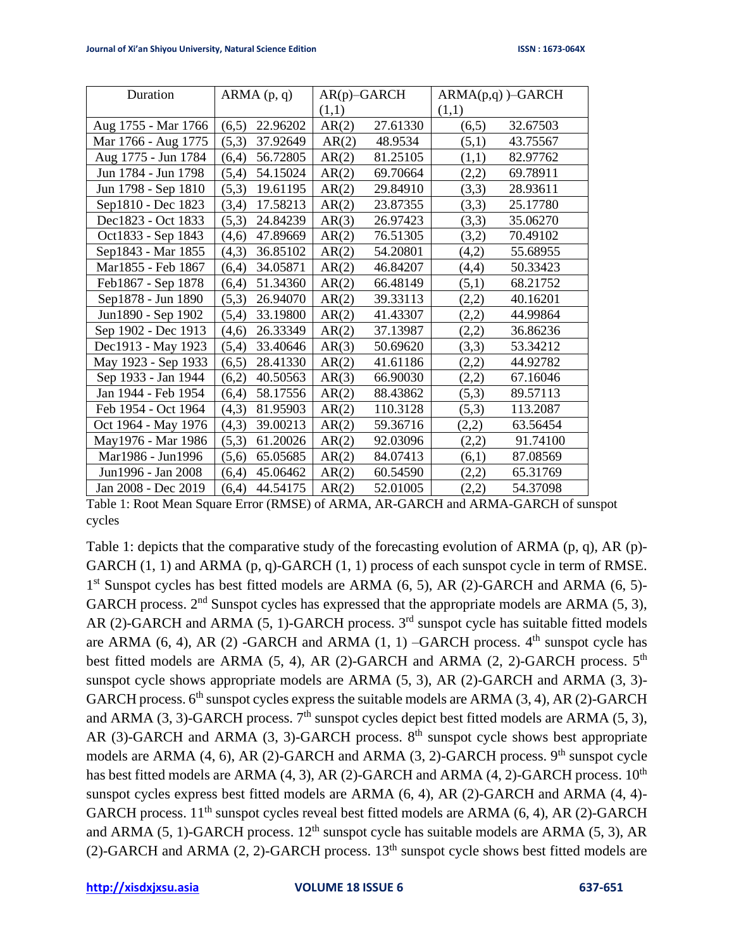| Duration            | ARMA(p, q)        | $AR(p)$ -GARCH |          | $ARMA(p,q)$ )–GARCH |          |
|---------------------|-------------------|----------------|----------|---------------------|----------|
|                     |                   | (1,1)          |          | (1,1)               |          |
| Aug 1755 - Mar 1766 | 22.96202<br>(6,5) | AR(2)          | 27.61330 | (6,5)               | 32.67503 |
| Mar 1766 - Aug 1775 | (5,3)<br>37.92649 | AR(2)          | 48.9534  | (5,1)               | 43.75567 |
| Aug 1775 - Jun 1784 | 56.72805<br>(6,4) | AR(2)          | 81.25105 | (1,1)               | 82.97762 |
| Jun 1784 - Jun 1798 | 54.15024<br>(5,4) | AR(2)          | 69.70664 | (2,2)               | 69.78911 |
| Jun 1798 - Sep 1810 | 19.61195<br>(5,3) | AR(2)          | 29.84910 | (3,3)               | 28.93611 |
| Sep1810 - Dec 1823  | 17.58213<br>(3,4) | AR(2)          | 23.87355 | (3,3)               | 25.17780 |
| Dec1823 - Oct 1833  | 24.84239<br>(5,3) | AR(3)          | 26.97423 | (3,3)               | 35.06270 |
| Oct1833 - Sep 1843  | 47.89669<br>(4,6) | AR(2)          | 76.51305 | (3,2)               | 70.49102 |
| Sep1843 - Mar 1855  | 36.85102<br>(4,3) | AR(2)          | 54.20801 | (4,2)               | 55.68955 |
| Mar1855 - Feb 1867  | 34.05871<br>(6,4) | AR(2)          | 46.84207 | (4,4)               | 50.33423 |
| Feb1867 - Sep 1878  | 51.34360<br>(6,4) | AR(2)          | 66.48149 | (5,1)               | 68.21752 |
| Sep1878 - Jun 1890  | (5,3)<br>26.94070 | AR(2)          | 39.33113 | (2,2)               | 40.16201 |
| Jun1890 - Sep 1902  | 33.19800<br>(5,4) | AR(2)          | 41.43307 | (2,2)               | 44.99864 |
| Sep 1902 - Dec 1913 | 26.33349<br>(4,6) | AR(2)          | 37.13987 | (2,2)               | 36.86236 |
| Dec1913 - May 1923  | (5,4)<br>33.40646 | AR(3)          | 50.69620 | (3,3)               | 53.34212 |
| May 1923 - Sep 1933 | 28.41330<br>(6,5) | AR(2)          | 41.61186 | (2,2)               | 44.92782 |
| Sep 1933 - Jan 1944 | 40.50563<br>(6,2) | AR(3)          | 66.90030 | (2,2)               | 67.16046 |
| Jan 1944 - Feb 1954 | 58.17556<br>(6,4) | AR(2)          | 88.43862 | (5,3)               | 89.57113 |
| Feb 1954 - Oct 1964 | (4,3)<br>81.95903 | AR(2)          | 110.3128 | (5,3)               | 113.2087 |
| Oct 1964 - May 1976 | 39.00213<br>(4,3) | AR(2)          | 59.36716 | (2,2)               | 63.56454 |
| May1976 - Mar 1986  | 61.20026<br>(5,3) | AR(2)          | 92.03096 | (2,2)               | 91.74100 |
| Mar1986 - Jun1996   | 65.05685<br>(5,6) | AR(2)          | 84.07413 | (6,1)               | 87.08569 |
| Jun1996 - Jan 2008  | 45.06462<br>(6,4) | AR(2)          | 60.54590 | (2,2)               | 65.31769 |
| Jan 2008 - Dec 2019 | (6,4)<br>44.54175 | AR(2)          | 52.01005 | (2,2)               | 54.37098 |

Table 1: Root Mean Square Error (RMSE) of ARMA, AR-GARCH and ARMA-GARCH of sunspot cycles

Table 1: depicts that the comparative study of the forecasting evolution of ARMA (p, q), AR (p)- GARCH  $(1, 1)$  and ARMA  $(p, q)$ -GARCH  $(1, 1)$  process of each sunspot cycle in term of RMSE. 1<sup>st</sup> Sunspot cycles has best fitted models are ARMA (6, 5), AR (2)-GARCH and ARMA (6, 5)-GARCH process.  $2<sup>nd</sup>$  Sunspot cycles has expressed that the appropriate models are ARMA (5, 3), AR (2)-GARCH and ARMA (5, 1)-GARCH process.  $3<sup>rd</sup>$  sunspot cycle has suitable fitted models are ARMA  $(6, 4)$ , AR  $(2)$  -GARCH and ARMA  $(1, 1)$  -GARCH process.  $4<sup>th</sup>$  sunspot cycle has best fitted models are ARMA (5, 4), AR (2)-GARCH and ARMA (2, 2)-GARCH process. 5<sup>th</sup> sunspot cycle shows appropriate models are ARMA (5, 3), AR (2)-GARCH and ARMA (3, 3)- GARCH process.  $6<sup>th</sup>$  sunspot cycles express the suitable models are ARMA (3, 4), AR (2)-GARCH and ARMA (3, 3)-GARCH process.  $7<sup>th</sup>$  sunspot cycles depict best fitted models are ARMA (5, 3), AR (3)-GARCH and ARMA (3, 3)-GARCH process.  $8<sup>th</sup>$  sunspot cycle shows best appropriate models are ARMA (4, 6), AR (2)-GARCH and ARMA (3, 2)-GARCH process.  $9<sup>th</sup>$  sunspot cycle has best fitted models are ARMA  $(4, 3)$ , AR  $(2)$ -GARCH and ARMA  $(4, 2)$ -GARCH process.  $10^{th}$ sunspot cycles express best fitted models are ARMA (6, 4), AR (2)-GARCH and ARMA (4, 4)- GARCH process.  $11<sup>th</sup>$  sunspot cycles reveal best fitted models are ARMA (6, 4), AR (2)-GARCH and ARMA (5, 1)-GARCH process.  $12<sup>th</sup>$  sunspot cycle has suitable models are ARMA (5, 3), AR (2)-GARCH and ARMA (2, 2)-GARCH process.  $13<sup>th</sup>$  sunspot cycle shows best fitted models are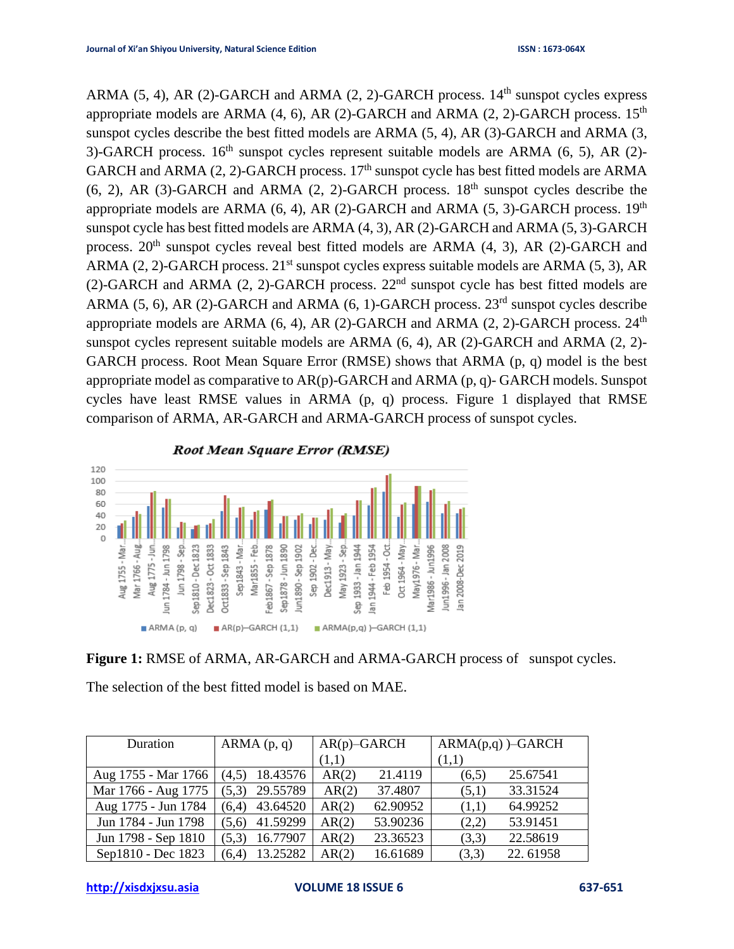ARMA (5, 4), AR (2)-GARCH and ARMA (2, 2)-GARCH process.  $14<sup>th</sup>$  sunspot cycles express appropriate models are ARMA  $(4, 6)$ , AR  $(2)$ -GARCH and ARMA  $(2, 2)$ -GARCH process. 15<sup>th</sup> sunspot cycles describe the best fitted models are ARMA (5, 4), AR (3)-GARCH and ARMA (3, 3)-GARCH process.  $16<sup>th</sup>$  sunspot cycles represent suitable models are ARMA (6, 5), AR (2)-GARCH and ARMA (2, 2)-GARCH process.  $17<sup>th</sup>$  sunspot cycle has best fitted models are ARMA  $(6, 2)$ , AR  $(3)$ -GARCH and ARMA  $(2, 2)$ -GARCH process. 18<sup>th</sup> sunspot cycles describe the appropriate models are ARMA  $(6, 4)$ , AR  $(2)$ -GARCH and ARMA  $(5, 3)$ -GARCH process.  $19<sup>th</sup>$ sunspot cycle has best fitted models are ARMA (4, 3), AR (2)-GARCH and ARMA (5, 3)-GARCH process.  $20<sup>th</sup>$  sunspot cycles reveal best fitted models are ARMA (4, 3), AR (2)-GARCH and ARMA (2, 2)-GARCH process.  $21<sup>st</sup>$  sunspot cycles express suitable models are ARMA (5, 3), AR (2)-GARCH and ARMA (2, 2)-GARCH process.  $22<sup>nd</sup>$  sunspot cycle has best fitted models are ARMA (5, 6), AR (2)-GARCH and ARMA (6, 1)-GARCH process.  $23<sup>rd</sup>$  sunspot cycles describe appropriate models are ARMA  $(6, 4)$ , AR  $(2)$ -GARCH and ARMA  $(2, 2)$ -GARCH process.  $24<sup>th</sup>$ sunspot cycles represent suitable models are ARMA (6, 4), AR (2)-GARCH and ARMA (2, 2)- GARCH process. Root Mean Square Error (RMSE) shows that ARMA (p, q) model is the best appropriate model as comparative to AR(p)-GARCH and ARMA (p, q)- GARCH models. Sunspot cycles have least RMSE values in ARMA (p, q) process. Figure 1 displayed that RMSE comparison of ARMA, AR-GARCH and ARMA-GARCH process of sunspot cycles.



**Figure 1:** RMSE of ARMA, AR-GARCH and ARMA-GARCH process of sunspot cycles.

The selection of the best fitted model is based on MAE.

| Duration                           | ARMA(p, q)        | $AR(p)$ -GARCH |          | $ARMA(p,q)$ )–GARCH |          |
|------------------------------------|-------------------|----------------|----------|---------------------|----------|
|                                    |                   | (1,1)          |          | (1,1)               |          |
| Aug 1755 - Mar 1766 (4,5) 18.43576 |                   | AR(2)          | 21.4119  | (6,5)               | 25.67541 |
| Mar 1766 - Aug 1775                | 29.55789<br>(5,3) | AR(2)          | 37.4807  | (5,1)               | 33.31524 |
| Aug 1775 - Jun 1784                | 43.64520<br>(6.4) | AR(2)          | 62.90952 | (1,1)               | 64.99252 |
| Jun 1784 - Jun 1798                | 41.59299<br>(5,6) | AR(2)          | 53.90236 | (2,2)               | 53.91451 |
| Jun 1798 - Sep 1810                | 16.77907<br>(5,3) | AR(2)          | 23.36523 | (3,3)               | 22.58619 |
| Sep1810 - Dec 1823                 | 13.25282<br>(6,4) | AR(2)          | 16.61689 | (3,3)               | 22.61958 |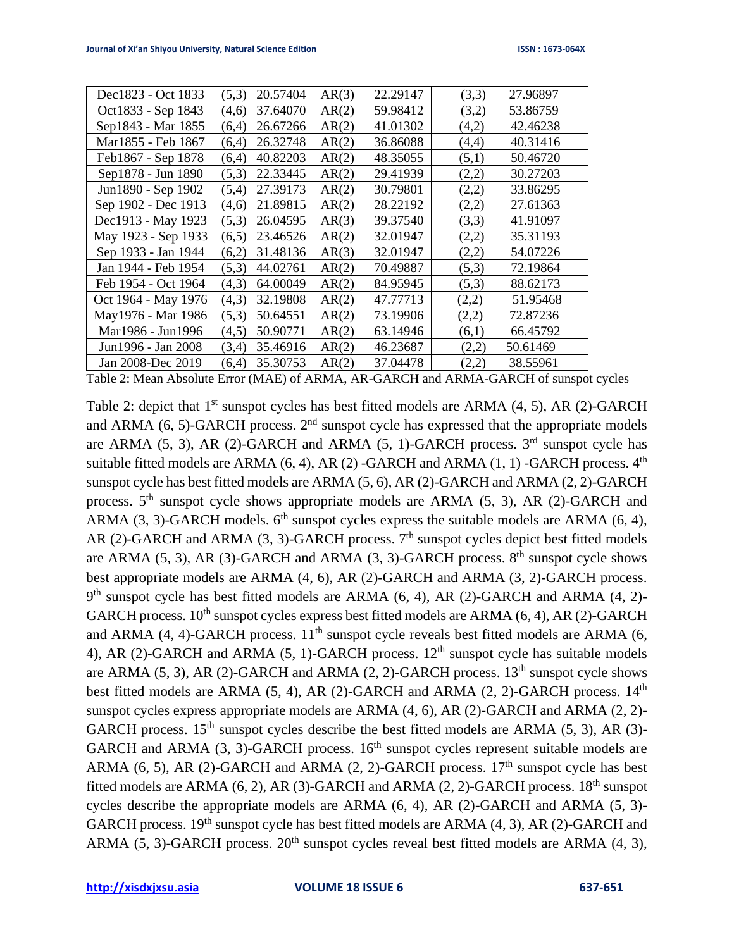| Dec1823 - Oct 1833  | 20.57404<br>(5,3) | AR(3) | 22.29147 | (3,3) | 27.96897 |
|---------------------|-------------------|-------|----------|-------|----------|
| Oct1833 - Sep 1843  | 37.64070<br>(4,6) | AR(2) | 59.98412 | (3,2) | 53.86759 |
| Sep1843 - Mar 1855  | 26.67266<br>(6,4) | AR(2) | 41.01302 | (4,2) | 42.46238 |
| Mar1855 - Feb 1867  | 26.32748<br>(6,4) | AR(2) | 36.86088 | (4,4) | 40.31416 |
| Feb1867 - Sep 1878  | 40.82203<br>(6,4) | AR(2) | 48.35055 | (5,1) | 50.46720 |
| Sep1878 - Jun 1890  | 22.33445<br>(5,3) | AR(2) | 29.41939 | (2,2) | 30.27203 |
| Jun1890 - Sep 1902  | 27.39173<br>(5,4) | AR(2) | 30.79801 | (2,2) | 33.86295 |
| Sep 1902 - Dec 1913 | 21.89815<br>(4,6) | AR(2) | 28.22192 | (2,2) | 27.61363 |
| Dec1913 - May 1923  | 26.04595<br>(5,3) | AR(3) | 39.37540 | (3,3) | 41.91097 |
| May 1923 - Sep 1933 | 23.46526<br>(6,5) | AR(2) | 32.01947 | (2,2) | 35.31193 |
| Sep 1933 - Jan 1944 | 31.48136<br>(6,2) | AR(3) | 32.01947 | (2,2) | 54.07226 |
| Jan 1944 - Feb 1954 | (5,3)<br>44.02761 | AR(2) | 70.49887 | (5,3) | 72.19864 |
| Feb 1954 - Oct 1964 | (4,3)<br>64.00049 | AR(2) | 84.95945 | (5,3) | 88.62173 |
| Oct 1964 - May 1976 | 32.19808<br>(4,3) | AR(2) | 47.77713 | (2,2) | 51.95468 |
| May1976 - Mar 1986  | (5,3)<br>50.64551 | AR(2) | 73.19906 | (2,2) | 72.87236 |
| Mar1986 - Jun1996   | 50.90771<br>(4,5) | AR(2) | 63.14946 | (6,1) | 66.45792 |
| Jun1996 - Jan 2008  | 35.46916<br>(3,4) | AR(2) | 46.23687 | (2,2) | 50.61469 |
| Jan 2008-Dec 2019   | 35.30753<br>(6,4) | AR(2) | 37.04478 | (2,2) | 38.55961 |

Table 2: Mean Absolute Error (MAE) of ARMA, AR-GARCH and ARMA-GARCH of sunspot cycles

Table 2: depict that 1<sup>st</sup> sunspot cycles has best fitted models are ARMA (4, 5), AR (2)-GARCH and ARMA  $(6, 5)$ -GARCH process.  $2<sup>nd</sup>$  sunspot cycle has expressed that the appropriate models are ARMA  $(5, 3)$ , AR  $(2)$ -GARCH and ARMA  $(5, 1)$ -GARCH process.  $3<sup>rd</sup>$  sunspot cycle has suitable fitted models are ARMA  $(6, 4)$ , AR $(2)$ -GARCH and ARMA  $(1, 1)$ -GARCH process.  $4<sup>th</sup>$ sunspot cycle has best fitted models are ARMA (5, 6), AR (2)-GARCH and ARMA (2, 2)-GARCH process.  $5<sup>th</sup>$  sunspot cycle shows appropriate models are ARMA (5, 3), AR (2)-GARCH and ARMA (3, 3)-GARCH models.  $6<sup>th</sup>$  sunspot cycles express the suitable models are ARMA (6, 4), AR (2)-GARCH and ARMA (3, 3)-GARCH process.  $7<sup>th</sup>$  sunspot cycles depict best fitted models are ARMA  $(5, 3)$ , AR  $(3)$ -GARCH and ARMA  $(3, 3)$ -GARCH process.  $8<sup>th</sup>$  sunspot cycle shows best appropriate models are ARMA (4, 6), AR (2)-GARCH and ARMA (3, 2)-GARCH process. 9<sup>th</sup> sunspot cycle has best fitted models are ARMA (6, 4), AR (2)-GARCH and ARMA (4, 2)-GARCH process.  $10^{th}$  sunspot cycles express best fitted models are ARMA (6, 4), AR (2)-GARCH and ARMA (4, 4)-GARCH process.  $11<sup>th</sup>$  sunspot cycle reveals best fitted models are ARMA (6, 4), AR (2)-GARCH and ARMA (5, 1)-GARCH process.  $12<sup>th</sup>$  sunspot cycle has suitable models are ARMA  $(5, 3)$ , AR  $(2)$ -GARCH and ARMA  $(2, 2)$ -GARCH process.  $13<sup>th</sup>$  sunspot cycle shows best fitted models are ARMA  $(5, 4)$ , AR  $(2)$ -GARCH and ARMA  $(2, 2)$ -GARCH process.  $14<sup>th</sup>$ sunspot cycles express appropriate models are ARMA (4, 6), AR (2)-GARCH and ARMA (2, 2)- GARCH process.  $15<sup>th</sup>$  sunspot cycles describe the best fitted models are ARMA (5, 3), AR (3)-GARCH and ARMA  $(3, 3)$ -GARCH process. 16<sup>th</sup> sunspot cycles represent suitable models are ARMA (6, 5), AR (2)-GARCH and ARMA (2, 2)-GARCH process.  $17<sup>th</sup>$  sunspot cycle has best fitted models are ARMA  $(6, 2)$ , AR  $(3)$ -GARCH and ARMA  $(2, 2)$ -GARCH process. 18<sup>th</sup> sunspot cycles describe the appropriate models are ARMA (6, 4), AR (2)-GARCH and ARMA (5, 3)- GARCH process.  $19<sup>th</sup>$  sunspot cycle has best fitted models are ARMA (4, 3), AR (2)-GARCH and ARMA (5, 3)-GARCH process.  $20<sup>th</sup>$  sunspot cycles reveal best fitted models are ARMA (4, 3),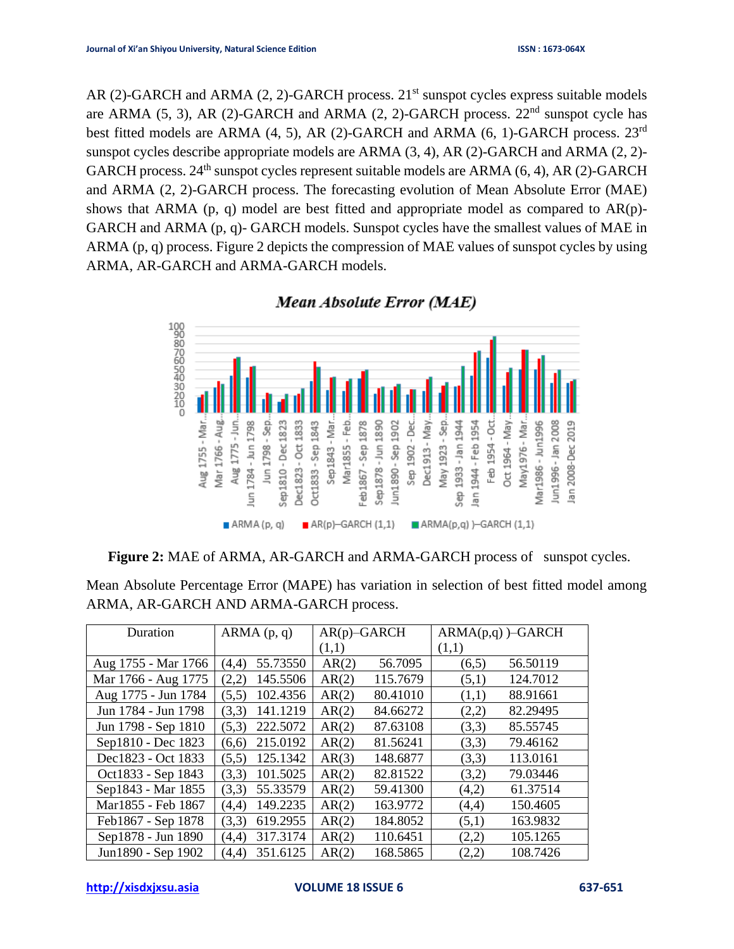AR (2)-GARCH and ARMA (2, 2)-GARCH process.  $21<sup>st</sup>$  sunspot cycles express suitable models are ARMA  $(5, 3)$ , AR  $(2)$ -GARCH and ARMA  $(2, 2)$ -GARCH process.  $22<sup>nd</sup>$  sunspot cycle has best fitted models are ARMA (4, 5), AR (2)-GARCH and ARMA (6, 1)-GARCH process. 23rd sunspot cycles describe appropriate models are ARMA (3, 4), AR (2)-GARCH and ARMA (2, 2)- GARCH process.  $24^{th}$  sunspot cycles represent suitable models are ARMA (6, 4), AR (2)-GARCH and ARMA (2, 2)-GARCH process. The forecasting evolution of Mean Absolute Error (MAE) shows that ARMA (p, q) model are best fitted and appropriate model as compared to AR(p)- GARCH and ARMA (p, q)- GARCH models. Sunspot cycles have the smallest values of MAE in ARMA (p, q) process. Figure 2 depicts the compression of MAE values of sunspot cycles by using ARMA, AR-GARCH and ARMA-GARCH models.



Mean Absolute Error (MAE)

|  | <b>Figure 2:</b> MAE of ARMA, AR-GARCH and ARMA-GARCH process of sunspot cycles. |  |  |
|--|----------------------------------------------------------------------------------|--|--|
|--|----------------------------------------------------------------------------------|--|--|

| Duration            | ARMA(p, q) | $AR(p)$ -GARCH | $ARMA(p,q)$ )–GARCH |
|---------------------|------------|----------------|---------------------|
|                     |            | (1,1)          | (1,1)               |
| Aug 1755 - Mar 1766 | 55.73550   | AR(2)          | 56.50119            |
|                     | (4,4)      | 56.7095        | (6,5)               |
| Mar 1766 - Aug 1775 | 145.5506   | 115.7679       | 124.7012            |
|                     | (2,2)      | AR(2)          | (5,1)               |
| Aug 1775 - Jun 1784 | 102.4356   | AR(2)          | (1,1)               |
|                     | (5,5)      | 80.41010       | 88.91661            |
| Jun 1784 - Jun 1798 | 141.1219   | AR(2)          | 82.29495            |
|                     | (3,3)      | 84.66272       | (2,2)               |
| Jun 1798 - Sep 1810 | 222.5072   | AR(2)          | (3,3)               |
|                     | (5,3)      | 87.63108       | 85.55745            |
| Sep1810 - Dec 1823  | 215.0192   | AR(2)          | (3,3)               |
|                     | (6,6)      | 81.56241       | 79.46162            |
| Dec1823 - Oct 1833  | 125.1342   | AR(3)          | 113.0161            |
|                     | (5,5)      | 148.6877       | (3,3)               |
| Oct1833 - Sep 1843  | 101.5025   | AR(2)          | (3,2)               |
|                     | (3,3)      | 82.81522       | 79.03446            |
| Sep1843 - Mar 1855  | 55.33579   | AR(2)          | 61.37514            |
|                     | (3,3)      | 59.41300       | (4,2)               |
| Mar1855 - Feb 1867  | 149.2235   | AR(2)          | 150.4605            |
|                     | (4,4)      | 163.9772       | (4,4)               |
| Feb1867 - Sep 1878  | 619.2955   | 184.8052       | 163.9832            |
|                     | (3,3)      | AR(2)          | (5,1)               |
| Sep1878 - Jun 1890  | 317.3174   | AR(2)          | 105.1265            |
|                     | (4,4)      | 110.6451       | (2,2)               |
| Jun1890 - Sep 1902  | 351.6125   | AR(2)          | 108.7426            |
|                     | (4,4)      | 168.5865       | (2,2)               |

Mean Absolute Percentage Error (MAPE) has variation in selection of best fitted model among ARMA, AR-GARCH AND ARMA-GARCH process.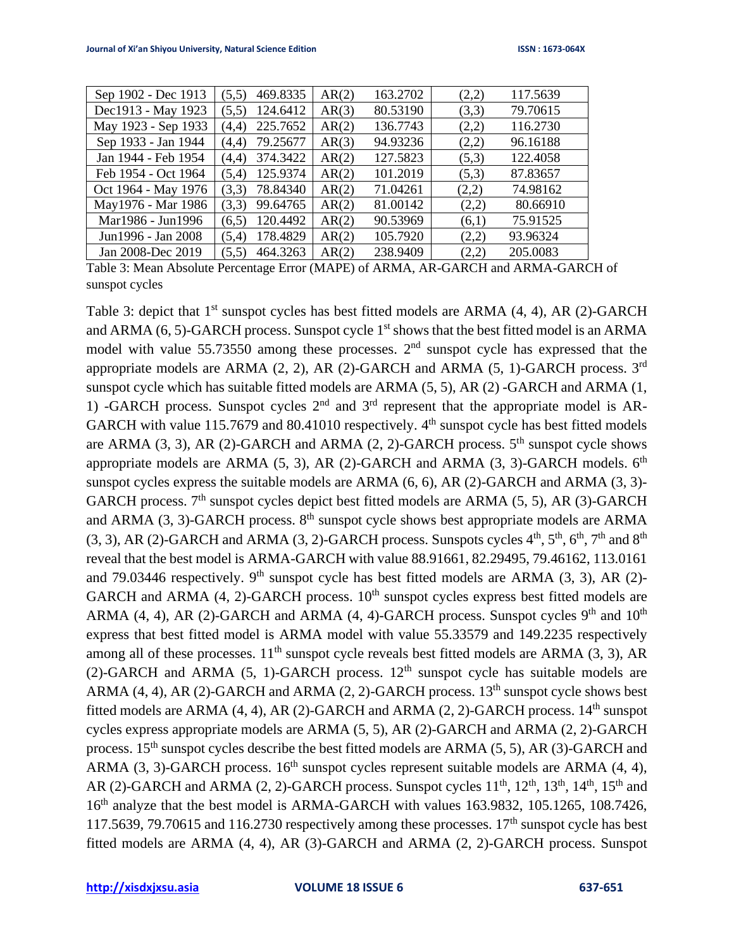| Sep 1902 - Dec 1913 | 469.8335<br>(5,5) | AR(2) | 163.2702 | (2,2) | 117.5639 |
|---------------------|-------------------|-------|----------|-------|----------|
| Dec1913 - May 1923  | 124.6412<br>(5,5) | AR(3) | 80.53190 | (3,3) | 79.70615 |
| May 1923 - Sep 1933 | 225.7652<br>(4,4) | AR(2) | 136.7743 | (2,2) | 116.2730 |
| Sep 1933 - Jan 1944 | 79.25677<br>(4,4) | AR(3) | 94.93236 | (2,2) | 96.16188 |
| Jan 1944 - Feb 1954 | 374.3422<br>(4,4) | AR(2) | 127.5823 | (5,3) | 122.4058 |
| Feb 1954 - Oct 1964 | 125.9374<br>(5,4) | AR(2) | 101.2019 | (5,3) | 87.83657 |
| Oct 1964 - May 1976 | 78.84340<br>(3,3) | AR(2) | 71.04261 | (2,2) | 74.98162 |
| May1976 - Mar 1986  | 99.64765<br>(3,3) | AR(2) | 81.00142 | (2,2) | 80.66910 |
| Mar1986 - Jun1996   | 120.4492<br>(6,5) | AR(2) | 90.53969 | (6,1) | 75.91525 |
| Jun1996 - Jan 2008  | 178.4829<br>(5,4) | AR(2) | 105.7920 | (2,2) | 93.96324 |
| Jan 2008-Dec 2019   | 464.3263<br>(5,5) | AR(2) | 238.9409 | (2,2) | 205.0083 |

Table 3: Mean Absolute Percentage Error (MAPE) of ARMA, AR-GARCH and ARMA-GARCH of sunspot cycles

Table 3: depict that 1<sup>st</sup> sunspot cycles has best fitted models are ARMA (4, 4), AR (2)-GARCH and ARMA  $(6, 5)$ -GARCH process. Sunspot cycle  $1<sup>st</sup>$  shows that the best fitted model is an ARMA model with value 55.73550 among these processes.  $2<sup>nd</sup>$  sunspot cycle has expressed that the appropriate models are ARMA  $(2, 2)$ , AR  $(2)$ -GARCH and ARMA  $(5, 1)$ -GARCH process. 3<sup>rd</sup> sunspot cycle which has suitable fitted models are ARMA (5, 5), AR (2) -GARCH and ARMA (1, 1) -GARCH process. Sunspot cycles  $2<sup>nd</sup>$  and  $3<sup>rd</sup>$  represent that the appropriate model is AR-GARCH with value 115.7679 and 80.41010 respectively.  $4<sup>th</sup>$  sunspot cycle has best fitted models are ARMA  $(3, 3)$ , AR  $(2)$ -GARCH and ARMA  $(2, 2)$ -GARCH process.  $5<sup>th</sup>$  sunspot cycle shows appropriate models are ARMA  $(5, 3)$ , AR  $(2)$ -GARCH and ARMA  $(3, 3)$ -GARCH models.  $6<sup>th</sup>$ sunspot cycles express the suitable models are ARMA (6, 6), AR (2)-GARCH and ARMA (3, 3)- GARCH process.  $7<sup>th</sup>$  sunspot cycles depict best fitted models are ARMA (5, 5), AR (3)-GARCH and ARMA (3, 3)-GARCH process.  $8<sup>th</sup>$  sunspot cycle shows best appropriate models are ARMA  $(3, 3)$ , AR  $(2)$ -GARCH and ARMA  $(3, 2)$ -GARCH process. Sunspots cycles  $4<sup>th</sup>$ ,  $5<sup>th</sup>$ ,  $6<sup>th</sup>$ ,  $7<sup>th</sup>$  and  $8<sup>th</sup>$ reveal that the best model is ARMA-GARCH with value 88.91661, 82.29495, 79.46162, 113.0161 and 79.03446 respectively.  $9<sup>th</sup>$  sunspot cycle has best fitted models are ARMA (3, 3), AR (2)-GARCH and ARMA  $(4, 2)$ -GARCH process.  $10<sup>th</sup>$  sunspot cycles express best fitted models are ARMA (4, 4), AR (2)-GARCH and ARMA (4, 4)-GARCH process. Sunspot cycles  $9<sup>th</sup>$  and  $10<sup>th</sup>$ express that best fitted model is ARMA model with value 55.33579 and 149.2235 respectively among all of these processes.  $11<sup>th</sup>$  sunspot cycle reveals best fitted models are ARMA (3, 3), AR (2)-GARCH and ARMA (5, 1)-GARCH process.  $12<sup>th</sup>$  sunspot cycle has suitable models are ARMA (4, 4), AR (2)-GARCH and ARMA (2, 2)-GARCH process.  $13<sup>th</sup>$  sunspot cycle shows best fitted models are ARMA  $(4, 4)$ , AR  $(2)$ -GARCH and ARMA  $(2, 2)$ -GARCH process.  $14<sup>th</sup>$  sunspot cycles express appropriate models are ARMA (5, 5), AR (2)-GARCH and ARMA (2, 2)-GARCH process.  $15<sup>th</sup>$  sunspot cycles describe the best fitted models are ARMA (5, 5), AR (3)-GARCH and ARMA (3, 3)-GARCH process.  $16<sup>th</sup>$  sunspot cycles represent suitable models are ARMA (4, 4), AR (2)-GARCH and ARMA (2, 2)-GARCH process. Sunspot cycles  $11<sup>th</sup>$ ,  $12<sup>th</sup>$ ,  $13<sup>th</sup>$ ,  $14<sup>th</sup>$ ,  $15<sup>th</sup>$  and 16<sup>th</sup> analyze that the best model is ARMA-GARCH with values 163.9832, 105.1265, 108.7426, 117.5639, 79.70615 and 116.2730 respectively among these processes.  $17<sup>th</sup>$  sunspot cycle has best fitted models are ARMA (4, 4), AR (3)-GARCH and ARMA (2, 2)-GARCH process. Sunspot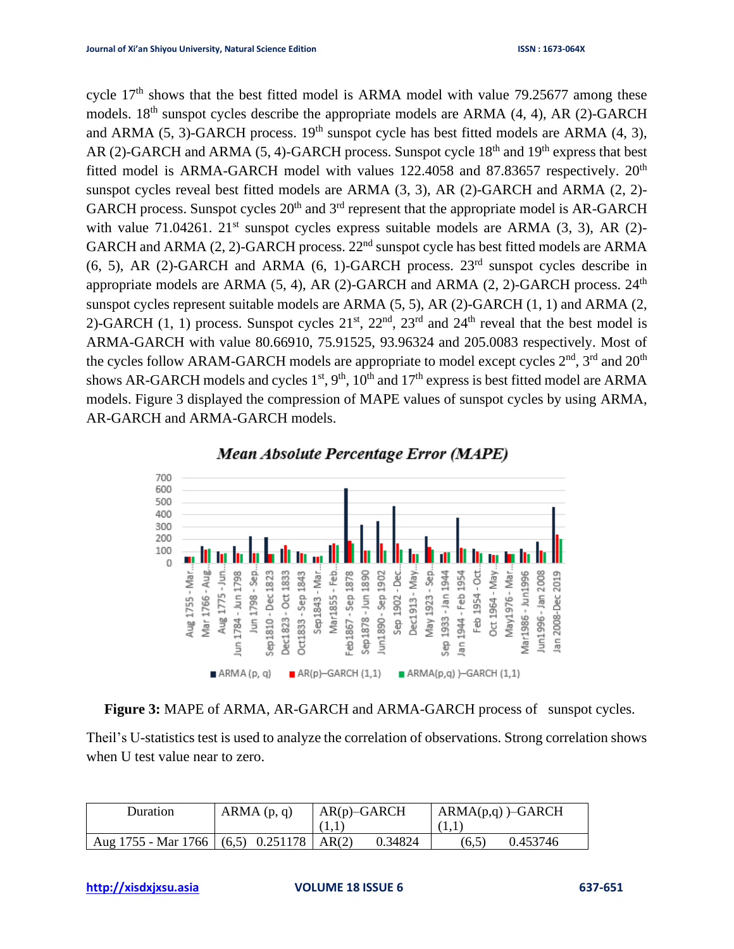cycle  $17<sup>th</sup>$  shows that the best fitted model is ARMA model with value 79.25677 among these models.  $18<sup>th</sup>$  sunspot cycles describe the appropriate models are ARMA (4, 4), AR (2)-GARCH and ARMA (5, 3)-GARCH process.  $19<sup>th</sup>$  sunspot cycle has best fitted models are ARMA (4, 3), AR (2)-GARCH and ARMA (5, 4)-GARCH process. Sunspot cycle  $18<sup>th</sup>$  and  $19<sup>th</sup>$  express that best fitted model is ARMA-GARCH model with values 122.4058 and 87.83657 respectively. 20<sup>th</sup> sunspot cycles reveal best fitted models are ARMA (3, 3), AR (2)-GARCH and ARMA (2, 2)- GARCH process. Sunspot cycles  $20<sup>th</sup>$  and  $3<sup>rd</sup>$  represent that the appropriate model is AR-GARCH with value 71.04261.  $21^{st}$  sunspot cycles express suitable models are ARMA (3, 3), AR (2)-GARCH and ARMA  $(2, 2)$ -GARCH process.  $22<sup>nd</sup>$  sunspot cycle has best fitted models are ARMA (6, 5), AR (2)-GARCH and ARMA (6, 1)-GARCH process.  $23<sup>rd</sup>$  sunspot cycles describe in appropriate models are ARMA  $(5, 4)$ , AR  $(2)$ -GARCH and ARMA  $(2, 2)$ -GARCH process.  $24<sup>th</sup>$ sunspot cycles represent suitable models are ARMA (5, 5), AR (2)-GARCH (1, 1) and ARMA (2, 2)-GARCH (1, 1) process. Sunspot cycles  $21<sup>st</sup>$ ,  $22<sup>nd</sup>$ ,  $23<sup>rd</sup>$  and  $24<sup>th</sup>$  reveal that the best model is ARMA-GARCH with value 80.66910, 75.91525, 93.96324 and 205.0083 respectively. Most of the cycles follow ARAM-GARCH models are appropriate to model except cycles  $2<sup>nd</sup>$ ,  $3<sup>rd</sup>$  and  $20<sup>th</sup>$ shows AR-GARCH models and cycles  $1<sup>st</sup>$ ,  $9<sup>th</sup>$ ,  $10<sup>th</sup>$  and  $17<sup>th</sup>$  express is best fitted model are ARMA models. Figure 3 displayed the compression of MAPE values of sunspot cycles by using ARMA, AR-GARCH and ARMA-GARCH models.





**Figure 3:** MAPE of ARMA, AR-GARCH and ARMA-GARCH process of sunspot cycles.

Theil's U-statistics test is used to analyze the correlation of observations. Strong correlation shows when U test value near to zero.

| Duration                                       | ARMA(p, q) | $AR(p)$ -GARCH | $ARMA(p,q)$ –GARCH |  |
|------------------------------------------------|------------|----------------|--------------------|--|
|                                                |            | (1,1)          | (1.1)              |  |
| Aug 1755 - Mar 1766   $(6,5)$ 0.251178   AR(2) |            | 0.34824        | 0.453746<br>(6.5)  |  |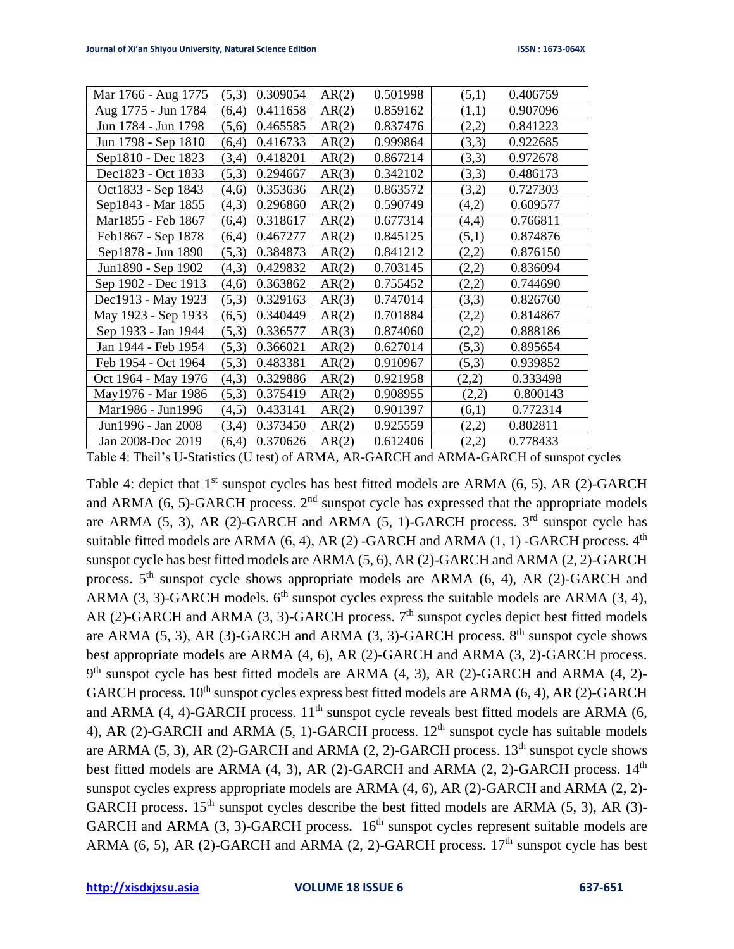| Mar 1766 - Aug 1775 | (5,3)<br>0.309054 | AR(2) | 0.501998 | (5,1) | 0.406759 |
|---------------------|-------------------|-------|----------|-------|----------|
| Aug 1775 - Jun 1784 | (6,4)<br>0.411658 | AR(2) | 0.859162 | (1,1) | 0.907096 |
| Jun 1784 - Jun 1798 | (5,6)<br>0.465585 | AR(2) | 0.837476 | (2,2) | 0.841223 |
| Jun 1798 - Sep 1810 | (6,4)<br>0.416733 | AR(2) | 0.999864 | (3,3) | 0.922685 |
| Sep1810 - Dec 1823  | (3,4)<br>0.418201 | AR(2) | 0.867214 | (3,3) | 0.972678 |
| Dec1823 - Oct 1833  | (5,3)<br>0.294667 | AR(3) | 0.342102 | (3,3) | 0.486173 |
| Oct1833 - Sep 1843  | 0.353636<br>(4,6) | AR(2) | 0.863572 | (3,2) | 0.727303 |
| Sep1843 - Mar 1855  | 0.296860<br>(4,3) | AR(2) | 0.590749 | (4,2) | 0.609577 |
| Mar1855 - Feb 1867  | 0.318617<br>(6,4) | AR(2) | 0.677314 | (4,4) | 0.766811 |
| Feb1867 - Sep 1878  | 0.467277<br>(6,4) | AR(2) | 0.845125 | (5,1) | 0.874876 |
| Sep1878 - Jun 1890  | (5,3)<br>0.384873 | AR(2) | 0.841212 | (2,2) | 0.876150 |
| Jun1890 - Sep 1902  | (4,3)<br>0.429832 | AR(2) | 0.703145 | (2,2) | 0.836094 |
| Sep 1902 - Dec 1913 | 0.363862<br>(4,6) | AR(2) | 0.755452 | (2,2) | 0.744690 |
| Dec1913 - May 1923  | (5,3)<br>0.329163 | AR(3) | 0.747014 | (3,3) | 0.826760 |
| May 1923 - Sep 1933 | 0.340449<br>(6,5) | AR(2) | 0.701884 | (2,2) | 0.814867 |
| Sep 1933 - Jan 1944 | (5,3)<br>0.336577 | AR(3) | 0.874060 | (2,2) | 0.888186 |
| Jan 1944 - Feb 1954 | (5,3)<br>0.366021 | AR(2) | 0.627014 | (5,3) | 0.895654 |
| Feb 1954 - Oct 1964 | (5,3)<br>0.483381 | AR(2) | 0.910967 | (5,3) | 0.939852 |
| Oct 1964 - May 1976 | 0.329886<br>(4,3) | AR(2) | 0.921958 | (2,2) | 0.333498 |
| May1976 - Mar 1986  | (5,3)<br>0.375419 | AR(2) | 0.908955 | (2,2) | 0.800143 |
| Mar1986 - Jun1996   | 0.433141<br>(4,5) | AR(2) | 0.901397 | (6,1) | 0.772314 |
| Jun1996 - Jan 2008  | 0.373450<br>(3,4) | AR(2) | 0.925559 | (2,2) | 0.802811 |
| Jan 2008-Dec 2019   | (6,4)<br>0.370626 | AR(2) | 0.612406 | (2,2) | 0.778433 |

Table 4: Theil's U-Statistics (U test) of ARMA, AR-GARCH and ARMA-GARCH of sunspot cycles

Table 4: depict that 1<sup>st</sup> sunspot cycles has best fitted models are ARMA (6, 5), AR (2)-GARCH and ARMA (6, 5)-GARCH process.  $2<sup>nd</sup>$  sunspot cycle has expressed that the appropriate models are ARMA (5, 3), AR (2)-GARCH and ARMA (5, 1)-GARCH process.  $3<sup>rd</sup>$  sunspot cycle has suitable fitted models are ARMA  $(6, 4)$ , AR $(2)$ -GARCH and ARMA  $(1, 1)$ -GARCH process.  $4<sup>th</sup>$ sunspot cycle has best fitted models are ARMA (5, 6), AR (2)-GARCH and ARMA (2, 2)-GARCH process. 5<sup>th</sup> sunspot cycle shows appropriate models are ARMA (6, 4), AR (2)-GARCH and ARMA (3, 3)-GARCH models.  $6<sup>th</sup>$  sunspot cycles express the suitable models are ARMA (3, 4), AR (2)-GARCH and ARMA (3, 3)-GARCH process.  $7<sup>th</sup>$  sunspot cycles depict best fitted models are ARMA  $(5, 3)$ , AR  $(3)$ -GARCH and ARMA  $(3, 3)$ -GARCH process.  $8<sup>th</sup>$  sunspot cycle shows best appropriate models are ARMA (4, 6), AR (2)-GARCH and ARMA (3, 2)-GARCH process.  $9<sup>th</sup>$  sunspot cycle has best fitted models are ARMA  $(4, 3)$ , AR  $(2)$ -GARCH and ARMA  $(4, 2)$ -GARCH process.  $10^{th}$  sunspot cycles express best fitted models are ARMA (6, 4), AR (2)-GARCH and ARMA (4, 4)-GARCH process.  $11<sup>th</sup>$  sunspot cycle reveals best fitted models are ARMA (6, 4), AR (2)-GARCH and ARMA (5, 1)-GARCH process.  $12<sup>th</sup>$  sunspot cycle has suitable models are ARMA  $(5, 3)$ , AR  $(2)$ -GARCH and ARMA  $(2, 2)$ -GARCH process.  $13<sup>th</sup>$  sunspot cycle shows best fitted models are ARMA  $(4, 3)$ , AR  $(2)$ -GARCH and ARMA  $(2, 2)$ -GARCH process.  $14<sup>th</sup>$ sunspot cycles express appropriate models are ARMA (4, 6), AR (2)-GARCH and ARMA (2, 2)- GARCH process.  $15<sup>th</sup>$  sunspot cycles describe the best fitted models are ARMA (5, 3), AR (3)-GARCH and ARMA  $(3, 3)$ -GARCH process. 16<sup>th</sup> sunspot cycles represent suitable models are ARMA (6, 5), AR (2)-GARCH and ARMA (2, 2)-GARCH process.  $17<sup>th</sup>$  sunspot cycle has best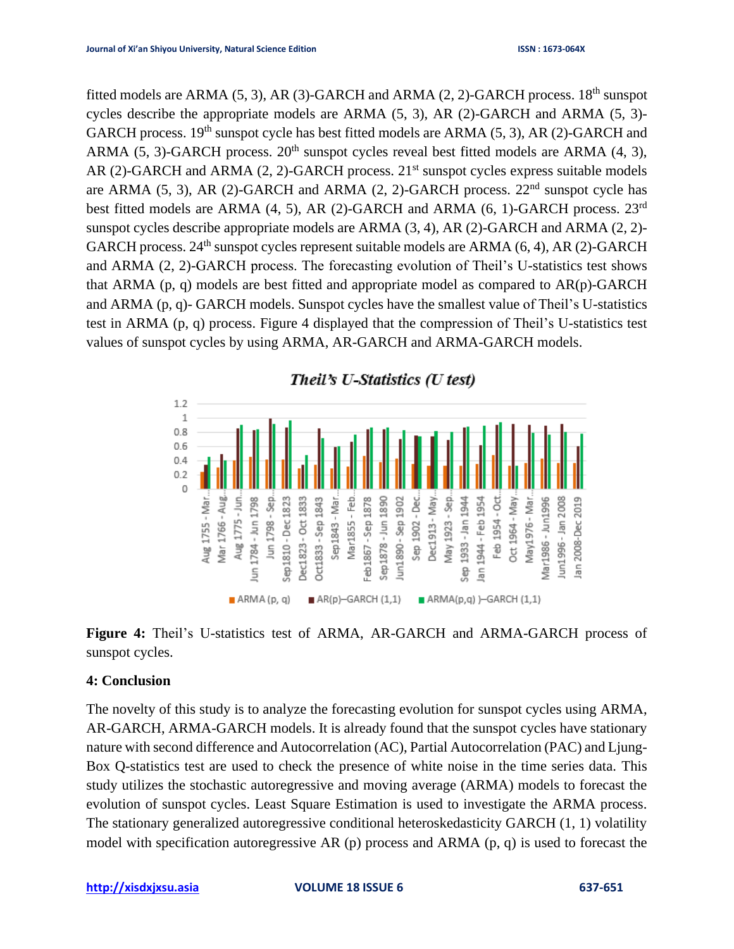fitted models are ARMA  $(5, 3)$ , AR $(3)$ -GARCH and ARMA  $(2, 2)$ -GARCH process. 18<sup>th</sup> sunspot cycles describe the appropriate models are ARMA (5, 3), AR (2)-GARCH and ARMA (5, 3)- GARCH process.  $19<sup>th</sup>$  sunspot cycle has best fitted models are ARMA (5, 3), AR (2)-GARCH and ARMA (5, 3)-GARCH process.  $20<sup>th</sup>$  sunspot cycles reveal best fitted models are ARMA (4, 3), AR (2)-GARCH and ARMA (2, 2)-GARCH process.  $21<sup>st</sup>$  sunspot cycles express suitable models are ARMA (5, 3), AR (2)-GARCH and ARMA (2, 2)-GARCH process.  $22<sup>nd</sup>$  sunspot cycle has best fitted models are ARMA (4, 5), AR (2)-GARCH and ARMA (6, 1)-GARCH process. 23rd sunspot cycles describe appropriate models are ARMA (3, 4), AR (2)-GARCH and ARMA (2, 2)- GARCH process.  $24<sup>th</sup>$  sunspot cycles represent suitable models are ARMA (6, 4), AR (2)-GARCH and ARMA (2, 2)-GARCH process. The forecasting evolution of Theil's U-statistics test shows that ARMA (p, q) models are best fitted and appropriate model as compared to AR(p)-GARCH and ARMA (p, q)- GARCH models. Sunspot cycles have the smallest value of Theil's U-statistics test in ARMA (p, q) process. Figure 4 displayed that the compression of Theil's U-statistics test values of sunspot cycles by using ARMA, AR-GARCH and ARMA-GARCH models.



**Figure 4:** Theil's U-statistics test of ARMA, AR-GARCH and ARMA-GARCH process of sunspot cycles.

## **4: Conclusion**

The novelty of this study is to analyze the forecasting evolution for sunspot cycles using ARMA, AR-GARCH, ARMA-GARCH models. It is already found that the sunspot cycles have stationary nature with second difference and Autocorrelation (AC), Partial Autocorrelation (PAC) and Ljung-Box Q-statistics test are used to check the presence of white noise in the time series data. This study utilizes the stochastic autoregressive and moving average (ARMA) models to forecast the evolution of sunspot cycles. Least Square Estimation is used to investigate the ARMA process. The stationary generalized autoregressive conditional heteroskedasticity GARCH (1, 1) volatility model with specification autoregressive AR (p) process and ARMA (p, q) is used to forecast the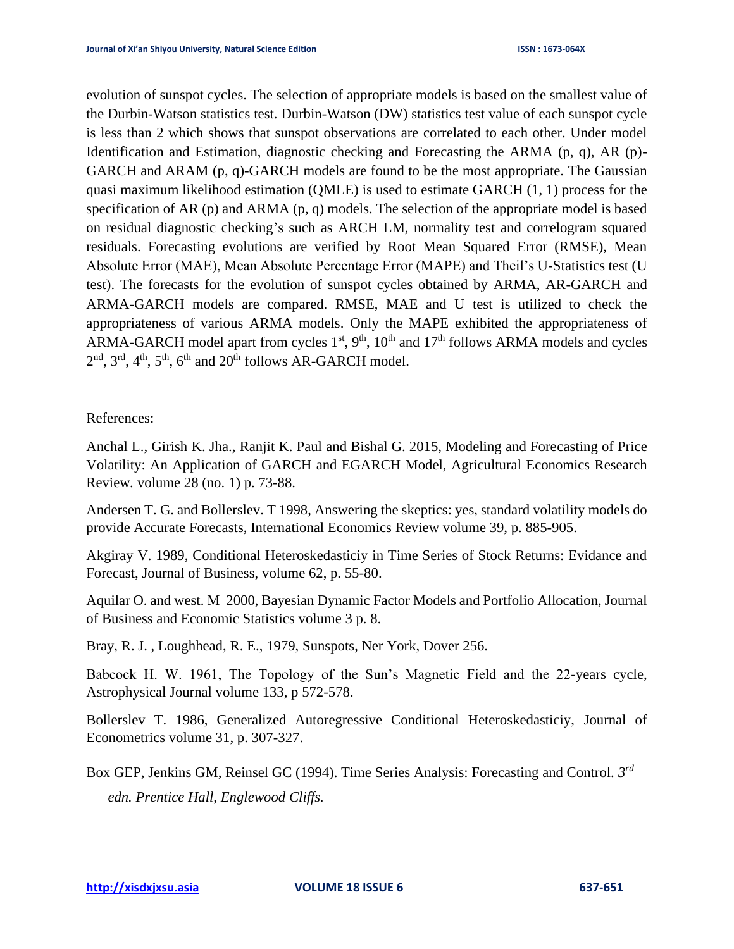evolution of sunspot cycles. The selection of appropriate models is based on the smallest value of the Durbin-Watson statistics test. Durbin-Watson (DW) statistics test value of each sunspot cycle is less than 2 which shows that sunspot observations are correlated to each other. Under model Identification and Estimation, diagnostic checking and Forecasting the ARMA (p, q), AR (p)- GARCH and ARAM (p, q)-GARCH models are found to be the most appropriate. The Gaussian quasi maximum likelihood estimation (QMLE) is used to estimate GARCH (1, 1) process for the specification of AR (p) and ARMA (p, q) models. The selection of the appropriate model is based on residual diagnostic checking's such as ARCH LM, normality test and correlogram squared residuals. Forecasting evolutions are verified by Root Mean Squared Error (RMSE), Mean Absolute Error (MAE), Mean Absolute Percentage Error (MAPE) and Theil's U-Statistics test (U test). The forecasts for the evolution of sunspot cycles obtained by ARMA, AR-GARCH and ARMA-GARCH models are compared. RMSE, MAE and U test is utilized to check the appropriateness of various ARMA models. Only the MAPE exhibited the appropriateness of ARMA-GARCH model apart from cycles  $1<sup>st</sup>$ ,  $9<sup>th</sup>$ ,  $10<sup>th</sup>$  and  $17<sup>th</sup>$  follows ARMA models and cycles  $2<sup>nd</sup>$ ,  $3<sup>rd</sup>$ ,  $4<sup>th</sup>$ ,  $5<sup>th</sup>$ ,  $6<sup>th</sup>$  and  $20<sup>th</sup>$  follows AR-GARCH model.

## References:

Anchal L., Girish K. Jha., Ranjit K. Paul and Bishal G. 2015, Modeling and Forecasting of Price Volatility: An Application of GARCH and EGARCH Model, Agricultural Economics Research Review*.* volume 28 (no. 1) p. 73-88.

Andersen T. G. and Bollerslev. T 1998, Answering the skeptics: yes, standard volatility models do provide Accurate Forecasts, International Economics Review volume 39, p. 885-905.

Akgiray V. 1989, Conditional Heteroskedasticiy in Time Series of Stock Returns: Evidance and Forecast, Journal of Business, volume 62, p. 55-80.

Aquilar O. and west. M 2000, Bayesian Dynamic Factor Models and Portfolio Allocation, Journal of Business and Economic Statistics volume 3 p. 8.

Bray, R. J. , Loughhead, R. E., 1979, Sunspots, Ner York, Dover 256.

Babcock H. W. 1961, The Topology of the Sun's Magnetic Field and the 22-years cycle, Astrophysical Journal volume 133, p 572-578.

Bollerslev T. 1986, Generalized Autoregressive Conditional Heteroskedasticiy, Journal of Econometrics volume 31, p. 307-327.

Box GEP, Jenkins GM, Reinsel GC (1994). Time Series Analysis: Forecasting and Control. *3 rd edn. Prentice Hall, Englewood Cliffs.*